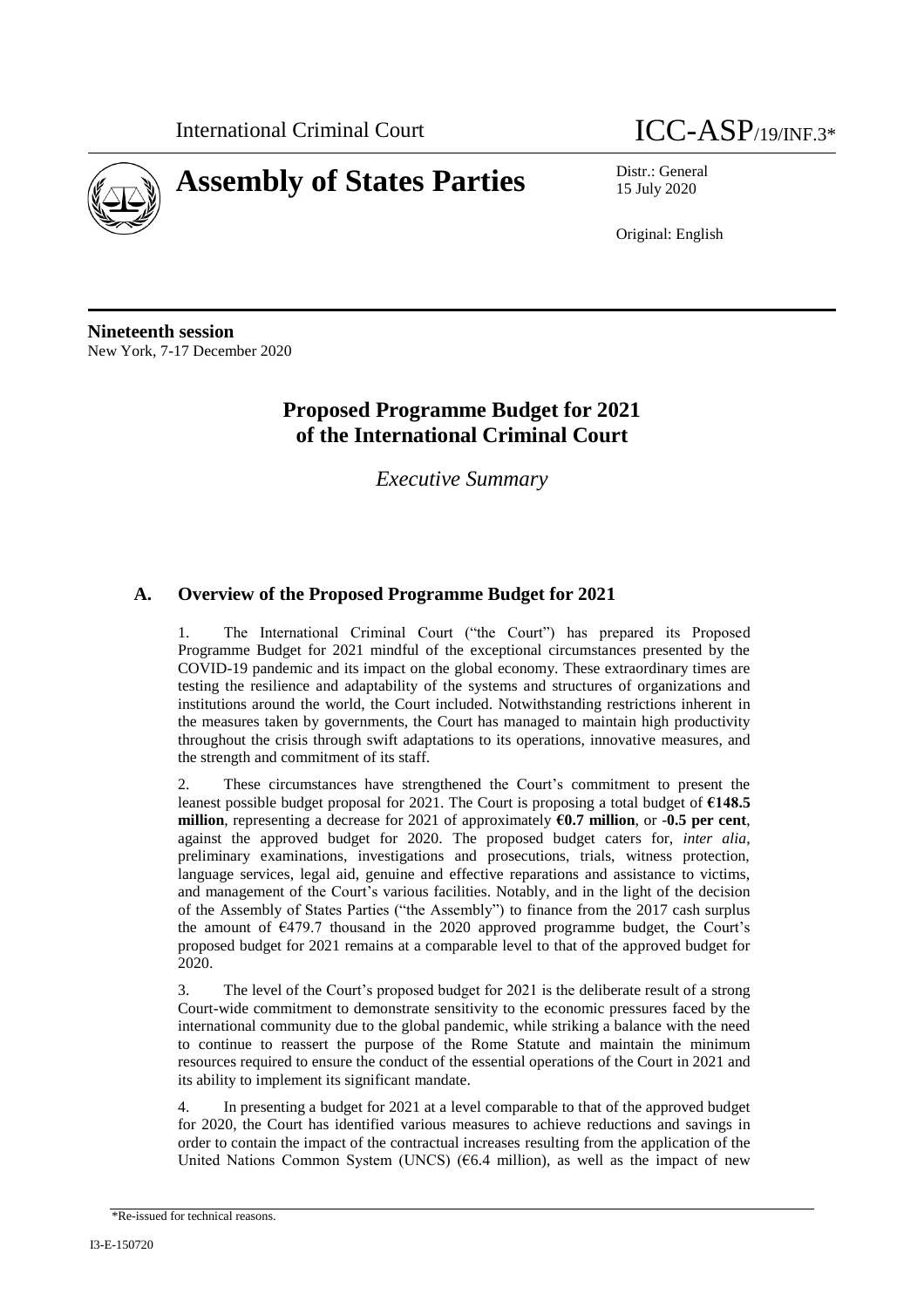



15 July 2020

Original: English

**Nineteenth session** New York, 7-17 December 2020

# **Proposed Programme Budget for 2021 of the International Criminal Court**

*Executive Summary*

## **A. Overview of the Proposed Programme Budget for 2021**

1. The International Criminal Court ("the Court") has prepared its Proposed Programme Budget for 2021 mindful of the exceptional circumstances presented by the COVID-19 pandemic and its impact on the global economy. These extraordinary times are testing the resilience and adaptability of the systems and structures of organizations and institutions around the world, the Court included. Notwithstanding restrictions inherent in the measures taken by governments, the Court has managed to maintain high productivity throughout the crisis through swift adaptations to its operations, innovative measures, and the strength and commitment of its staff.

2. These circumstances have strengthened the Court's commitment to present the leanest possible budget proposal for 2021. The Court is proposing a total budget of **€148.5 million**, representing a decrease for 2021 of approximately  $60.7$  **million**, or -0.5 per cent, against the approved budget for 2020. The proposed budget caters for, *inter alia*, preliminary examinations, investigations and prosecutions, trials, witness protection, language services, legal aid, genuine and effective reparations and assistance to victims, and management of the Court's various facilities. Notably, and in the light of the decision of the Assembly of States Parties ("the Assembly") to finance from the 2017 cash surplus the amount of €479.7 thousand in the 2020 approved programme budget, the Court's proposed budget for 2021 remains at a comparable level to that of the approved budget for 2020.

3. The level of the Court's proposed budget for 2021 is the deliberate result of a strong Court-wide commitment to demonstrate sensitivity to the economic pressures faced by the international community due to the global pandemic, while striking a balance with the need to continue to reassert the purpose of the Rome Statute and maintain the minimum resources required to ensure the conduct of the essential operations of the Court in 2021 and its ability to implement its significant mandate.

4. In presenting a budget for 2021 at a level comparable to that of the approved budget for 2020, the Court has identified various measures to achieve reductions and savings in order to contain the impact of the contractual increases resulting from the application of the United Nations Common System (UNCS) ( $66.4$  million), as well as the impact of new

<sup>\*</sup>Re-issued for technical reasons.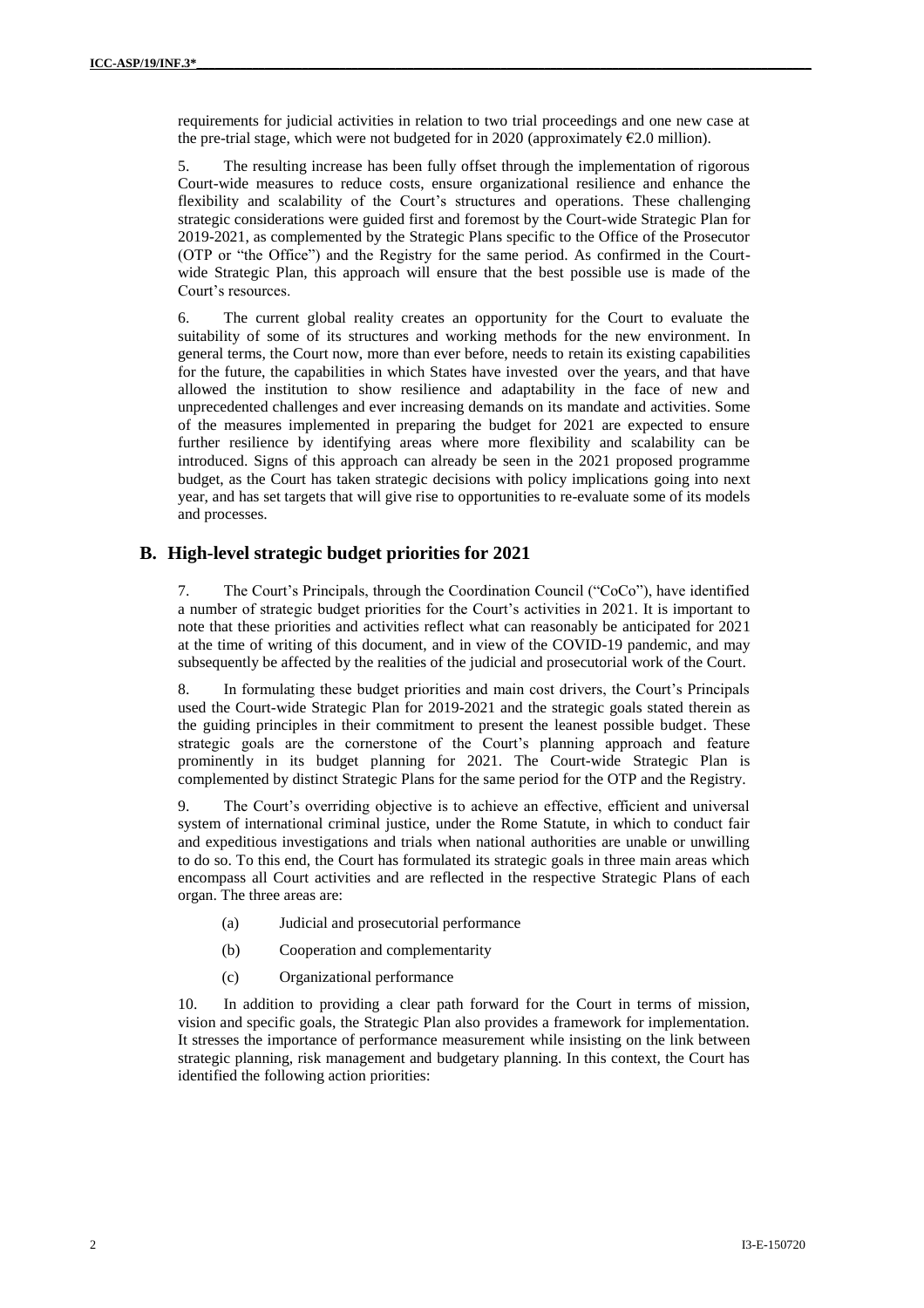requirements for judicial activities in relation to two trial proceedings and one new case at the pre-trial stage, which were not budgeted for in 2020 (approximately  $\epsilon$ 2.0 million).

5. The resulting increase has been fully offset through the implementation of rigorous Court-wide measures to reduce costs, ensure organizational resilience and enhance the flexibility and scalability of the Court's structures and operations. These challenging strategic considerations were guided first and foremost by the Court-wide Strategic Plan for 2019-2021, as complemented by the Strategic Plans specific to the Office of the Prosecutor (OTP or "the Office") and the Registry for the same period. As confirmed in the Courtwide Strategic Plan, this approach will ensure that the best possible use is made of the Court's resources.

6. The current global reality creates an opportunity for the Court to evaluate the suitability of some of its structures and working methods for the new environment. In general terms, the Court now, more than ever before, needs to retain its existing capabilities for the future, the capabilities in which States have invested over the years, and that have allowed the institution to show resilience and adaptability in the face of new and unprecedented challenges and ever increasing demands on its mandate and activities. Some of the measures implemented in preparing the budget for 2021 are expected to ensure further resilience by identifying areas where more flexibility and scalability can be introduced. Signs of this approach can already be seen in the 2021 proposed programme budget, as the Court has taken strategic decisions with policy implications going into next year, and has set targets that will give rise to opportunities to re-evaluate some of its models and processes.

## **B. High-level strategic budget priorities for 2021**

7. The Court's Principals, through the Coordination Council ("CoCo"), have identified a number of strategic budget priorities for the Court's activities in 2021. It is important to note that these priorities and activities reflect what can reasonably be anticipated for 2021 at the time of writing of this document, and in view of the COVID-19 pandemic, and may subsequently be affected by the realities of the judicial and prosecutorial work of the Court.

8. In formulating these budget priorities and main cost drivers, the Court's Principals used the Court-wide Strategic Plan for 2019-2021 and the strategic goals stated therein as the guiding principles in their commitment to present the leanest possible budget. These strategic goals are the cornerstone of the Court's planning approach and feature prominently in its budget planning for 2021. The Court-wide Strategic Plan is complemented by distinct Strategic Plans for the same period for the OTP and the Registry.

9. The Court's overriding objective is to achieve an effective, efficient and universal system of international criminal justice, under the Rome Statute, in which to conduct fair and expeditious investigations and trials when national authorities are unable or unwilling to do so. To this end, the Court has formulated its strategic goals in three main areas which encompass all Court activities and are reflected in the respective Strategic Plans of each organ. The three areas are:

- (a) Judicial and prosecutorial performance
- (b) Cooperation and complementarity
- (c) Organizational performance

10. In addition to providing a clear path forward for the Court in terms of mission, vision and specific goals, the Strategic Plan also provides a framework for implementation. It stresses the importance of performance measurement while insisting on the link between strategic planning, risk management and budgetary planning. In this context, the Court has identified the following action priorities: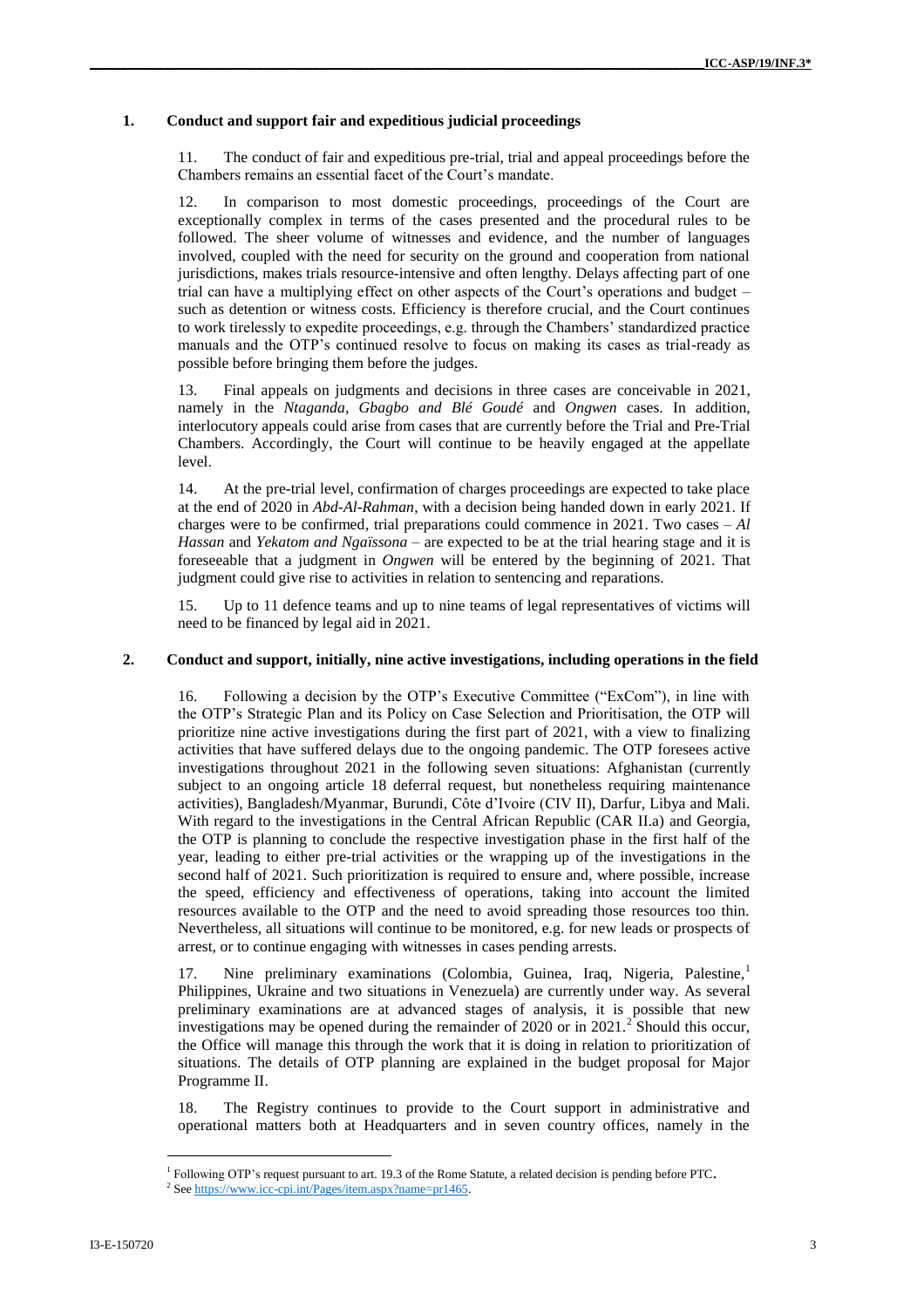#### **1. Conduct and support fair and expeditious judicial proceedings**

11. The conduct of fair and expeditious pre-trial, trial and appeal proceedings before the Chambers remains an essential facet of the Court's mandate.

12. In comparison to most domestic proceedings, proceedings of the Court are exceptionally complex in terms of the cases presented and the procedural rules to be followed. The sheer volume of witnesses and evidence, and the number of languages involved, coupled with the need for security on the ground and cooperation from national jurisdictions, makes trials resource-intensive and often lengthy. Delays affecting part of one trial can have a multiplying effect on other aspects of the Court's operations and budget – such as detention or witness costs. Efficiency is therefore crucial, and the Court continues to work tirelessly to expedite proceedings, e.g. through the Chambers' standardized practice manuals and the OTP's continued resolve to focus on making its cases as trial-ready as possible before bringing them before the judges.

13. Final appeals on judgments and decisions in three cases are conceivable in 2021, namely in the *Ntaganda, Gbagbo and Blé Goudé* and *Ongwen* cases. In addition, interlocutory appeals could arise from cases that are currently before the Trial and Pre-Trial Chambers. Accordingly, the Court will continue to be heavily engaged at the appellate level.

14. At the pre-trial level, confirmation of charges proceedings are expected to take place at the end of 2020 in *Abd-Al-Rahman*, with a decision being handed down in early 2021. If charges were to be confirmed, trial preparations could commence in 2021. Two cases – *Al Hassan* and *Yekatom and Ngaïssona* – are expected to be at the trial hearing stage and it is foreseeable that a judgment in *Ongwen* will be entered by the beginning of 2021. That judgment could give rise to activities in relation to sentencing and reparations.

15. Up to 11 defence teams and up to nine teams of legal representatives of victims will need to be financed by legal aid in 2021.

#### **2. Conduct and support, initially, nine active investigations, including operations in the field**

16. Following a decision by the OTP's Executive Committee ("ExCom"), in line with the OTP's Strategic Plan and its Policy on Case Selection and Prioritisation, the OTP will prioritize nine active investigations during the first part of 2021, with a view to finalizing activities that have suffered delays due to the ongoing pandemic. The OTP foresees active investigations throughout 2021 in the following seven situations: Afghanistan (currently subject to an ongoing article 18 deferral request, but nonetheless requiring maintenance activities), Bangladesh/Myanmar, Burundi, Côte d'Ivoire (CIV II), Darfur, Libya and Mali. With regard to the investigations in the Central African Republic (CAR II.a) and Georgia, the OTP is planning to conclude the respective investigation phase in the first half of the year, leading to either pre-trial activities or the wrapping up of the investigations in the second half of 2021. Such prioritization is required to ensure and, where possible, increase the speed, efficiency and effectiveness of operations, taking into account the limited resources available to the OTP and the need to avoid spreading those resources too thin. Nevertheless, all situations will continue to be monitored, e.g. for new leads or prospects of arrest, or to continue engaging with witnesses in cases pending arrests.

17. Nine preliminary examinations (Colombia, Guinea, Iraq, Nigeria, Palestine,<sup>1</sup> Philippines, Ukraine and two situations in Venezuela) are currently under way. As several preliminary examinations are at advanced stages of analysis, it is possible that new investigations may be opened during the remainder of 2020 or in  $2021$ .<sup>2</sup> Should this occur, the Office will manage this through the work that it is doing in relation to prioritization of situations. The details of OTP planning are explained in the budget proposal for Major Programme II.

18. The Registry continues to provide to the Court support in administrative and operational matters both at Headquarters and in seven country offices, namely in the

 $\overline{\phantom{a}}$ 

<sup>&</sup>lt;sup>1</sup> Following OTP's request pursuant to art. 19.3 of the Rome Statute, a related decision is pending before PTC.

<sup>&</sup>lt;sup>2</sup> Se[e https://www.icc-cpi.int/Pages/item.aspx?name=pr1465.](https://www.icc-cpi.int/Pages/item.aspx?name=pr1465)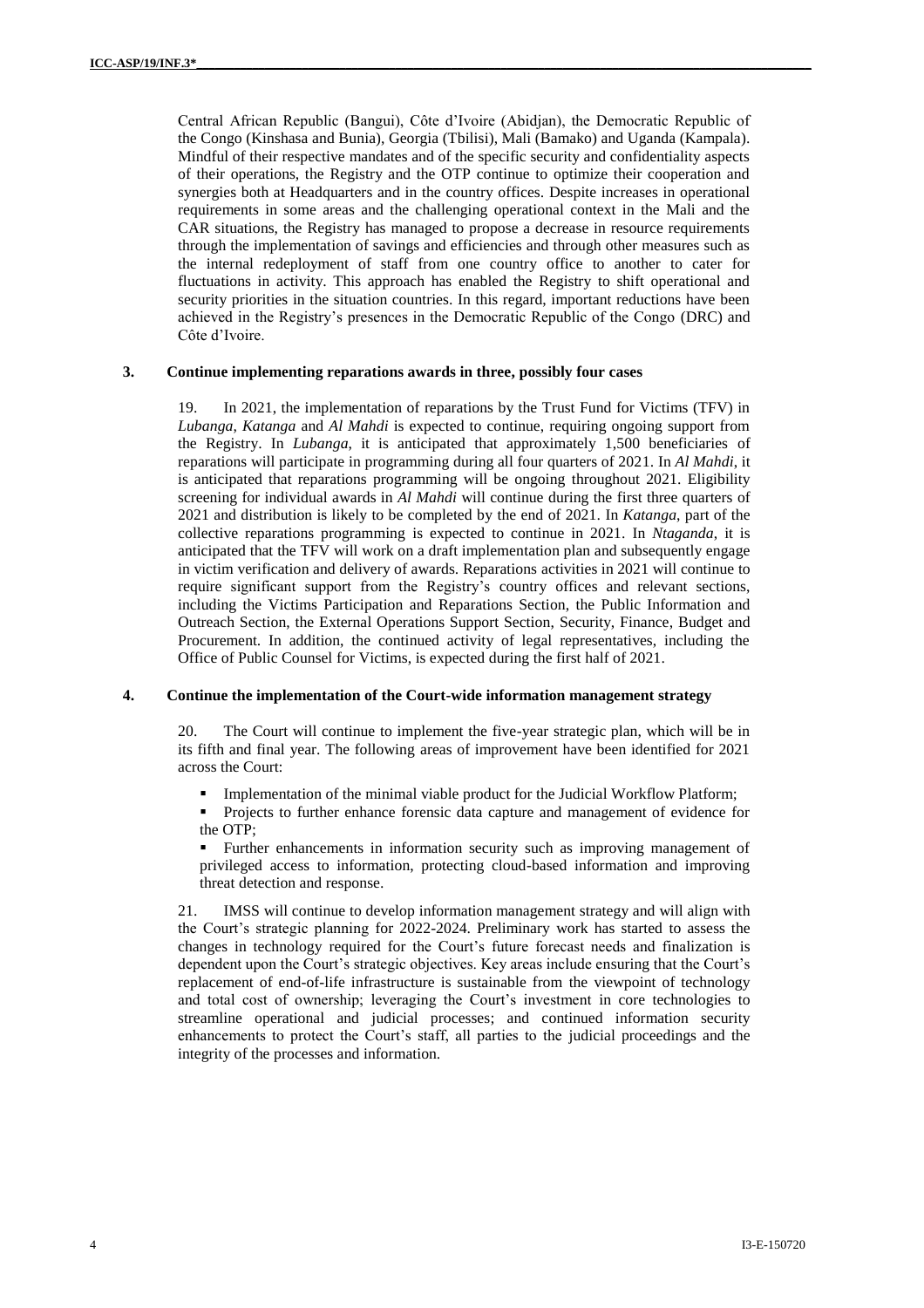Central African Republic (Bangui), Côte d'Ivoire (Abidjan), the Democratic Republic of the Congo (Kinshasa and Bunia), Georgia (Tbilisi), Mali (Bamako) and Uganda (Kampala). Mindful of their respective mandates and of the specific security and confidentiality aspects of their operations, the Registry and the OTP continue to optimize their cooperation and synergies both at Headquarters and in the country offices. Despite increases in operational requirements in some areas and the challenging operational context in the Mali and the CAR situations, the Registry has managed to propose a decrease in resource requirements through the implementation of savings and efficiencies and through other measures such as the internal redeployment of staff from one country office to another to cater for fluctuations in activity. This approach has enabled the Registry to shift operational and security priorities in the situation countries. In this regard, important reductions have been achieved in the Registry's presences in the Democratic Republic of the Congo (DRC) and Côte d'Ivoire.

#### **3. Continue implementing reparations awards in three, possibly four cases**

19. In 2021, the implementation of reparations by the Trust Fund for Victims (TFV) in *Lubanga*, *Katanga* and *Al Mahdi* is expected to continue, requiring ongoing support from the Registry. In *Lubanga*, it is anticipated that approximately 1,500 beneficiaries of reparations will participate in programming during all four quarters of 2021. In *Al Mahdi*, it is anticipated that reparations programming will be ongoing throughout 2021. Eligibility screening for individual awards in *Al Mahdi* will continue during the first three quarters of 2021 and distribution is likely to be completed by the end of 2021. In *Katanga*, part of the collective reparations programming is expected to continue in 2021. In *Ntaganda*, it is anticipated that the TFV will work on a draft implementation plan and subsequently engage in victim verification and delivery of awards. Reparations activities in 2021 will continue to require significant support from the Registry's country offices and relevant sections, including the Victims Participation and Reparations Section, the Public Information and Outreach Section, the External Operations Support Section, Security, Finance, Budget and Procurement. In addition, the continued activity of legal representatives, including the Office of Public Counsel for Victims, is expected during the first half of 2021.

#### **4. Continue the implementation of the Court-wide information management strategy**

20. The Court will continue to implement the five-year strategic plan, which will be in its fifth and final year. The following areas of improvement have been identified for 2021 across the Court:

- Implementation of the minimal viable product for the Judicial Workflow Platform;
- Projects to further enhance forensic data capture and management of evidence for the OTP;

 Further enhancements in information security such as improving management of privileged access to information, protecting cloud-based information and improving threat detection and response.

21. IMSS will continue to develop information management strategy and will align with the Court's strategic planning for 2022-2024. Preliminary work has started to assess the changes in technology required for the Court's future forecast needs and finalization is dependent upon the Court's strategic objectives. Key areas include ensuring that the Court's replacement of end-of-life infrastructure is sustainable from the viewpoint of technology and total cost of ownership; leveraging the Court's investment in core technologies to streamline operational and judicial processes; and continued information security enhancements to protect the Court's staff, all parties to the judicial proceedings and the integrity of the processes and information.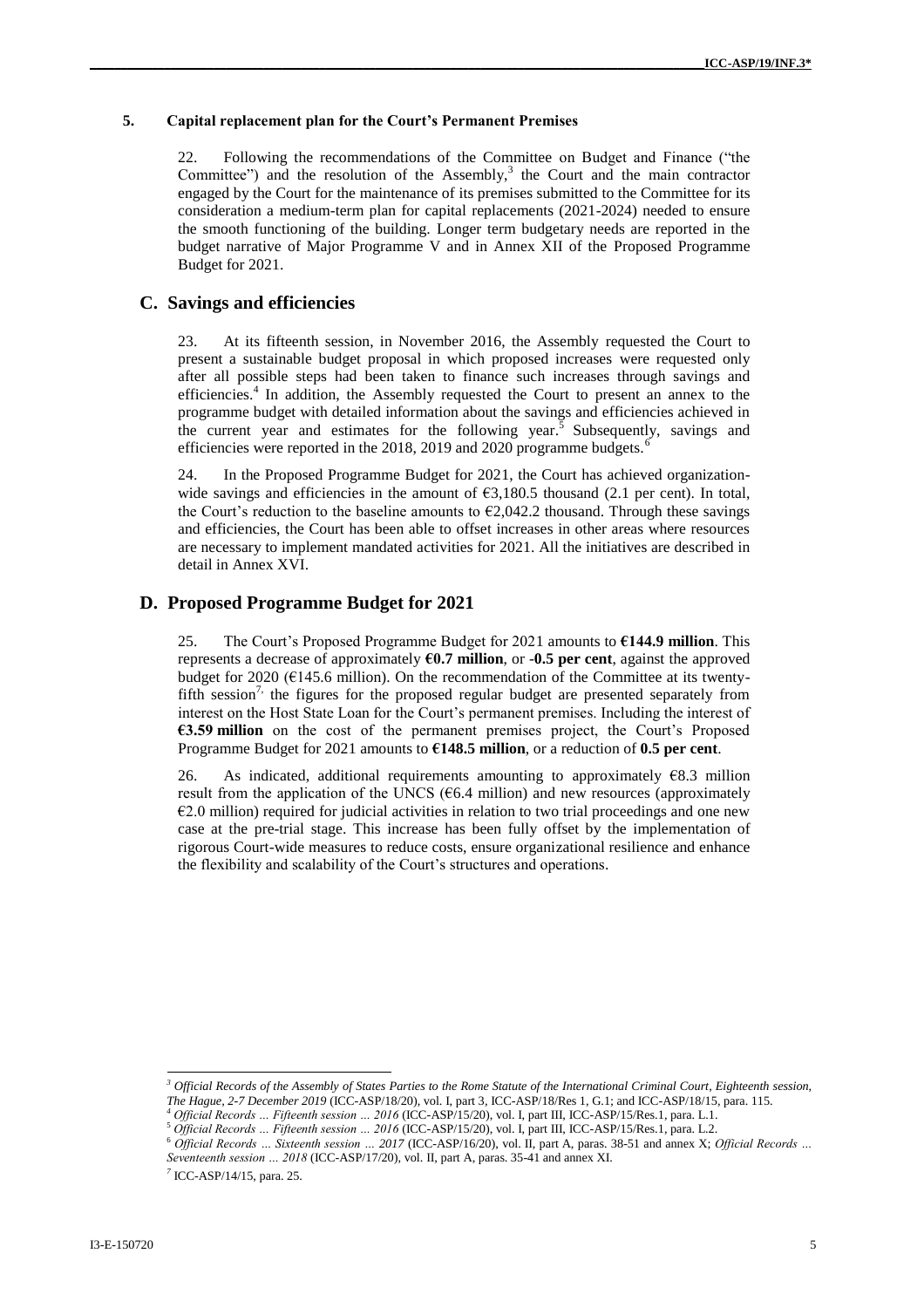#### **5. Capital replacement plan for the Court's Permanent Premises**

22. Following the recommendations of the Committee on Budget and Finance ("the Committee") and the resolution of the Assembly, $3$  the Court and the main contractor engaged by the Court for the maintenance of its premises submitted to the Committee for its consideration a medium-term plan for capital replacements (2021-2024) needed to ensure the smooth functioning of the building. Longer term budgetary needs are reported in the budget narrative of Major Programme V and in Annex XII of the Proposed Programme Budget for 2021.

#### **C. Savings and efficiencies**

23. At its fifteenth session, in November 2016, the Assembly requested the Court to present a sustainable budget proposal in which proposed increases were requested only after all possible steps had been taken to finance such increases through savings and efficiencies.<sup>4</sup> In addition, the Assembly requested the Court to present an annex to the programme budget with detailed information about the savings and efficiencies achieved in the current year and estimates for the following year.<sup>5</sup> Subsequently, savings and efficiencies were reported in the 2018, 2019 and 2020 programme budgets.<sup>6</sup>

24. In the Proposed Programme Budget for 2021, the Court has achieved organizationwide savings and efficiencies in the amount of  $\epsilon$ 3,180.5 thousand (2.1 per cent). In total, the Court's reduction to the baseline amounts to  $\epsilon$ 2,042.2 thousand. Through these savings and efficiencies, the Court has been able to offset increases in other areas where resources are necessary to implement mandated activities for 2021. All the initiatives are described in detail in Annex XVI.

## **D. Proposed Programme Budget for 2021**

25. The Court's Proposed Programme Budget for 2021 amounts to **€144.9 million**. This represents a decrease of approximately **€0.7 million**, or -**0.5 per cent**, against the approved budget for 2020 ( $E$ 145.6 million). On the recommendation of the Committee at its twentyfifth session<sup>7,</sup> the figures for the proposed regular budget are presented separately from interest on the Host State Loan for the Court's permanent premises. Including the interest of **€3.59 million** on the cost of the permanent premises project, the Court's Proposed Programme Budget for 2021 amounts to **€148.5 million**, or a reduction of **0.5 per cent**.

26. As indicated, additional requirements amounting to approximately  $68.3$  million result from the application of the UNCS ( $66.4$  million) and new resources (approximately  $E$ 2.0 million) required for judicial activities in relation to two trial proceedings and one new case at the pre-trial stage. This increase has been fully offset by the implementation of rigorous Court-wide measures to reduce costs, ensure organizational resilience and enhance the flexibility and scalability of the Court's structures and operations.

 $\overline{\phantom{a}}$ 

*<sup>3</sup> Official Records of the Assembly of States Parties to the Rome Statute of the International Criminal Court, Eighteenth session, The Hague, 2-7 December 2019* (ICC-ASP/18/20), vol. I, part 3*,* ICC-ASP/18/Res 1, G.1; and ICC-ASP/18/15*,* para. 115. *<sup>4</sup> Official Records … Fifteenth session … 2016* (ICC-ASP/15/20), vol. I, part III, ICC-ASP/15/Res.1, para. L.1.

<sup>5</sup> *Official Records … Fifteenth session … 2016* (ICC-ASP/15/20), vol. I, part III, ICC-ASP/15/Res.1, para. L.2.

<sup>6</sup> *Official Records … Sixteenth session … 2017* (ICC-ASP/16/20), vol. II, part A, paras. 38-51 and annex X; *Official Records … Seventeenth session … 2018* (ICC-ASP/17/20), vol. II, part A, paras. 35-41 and annex XI.

*<sup>7</sup>* ICC-ASP/14/15, para. 25.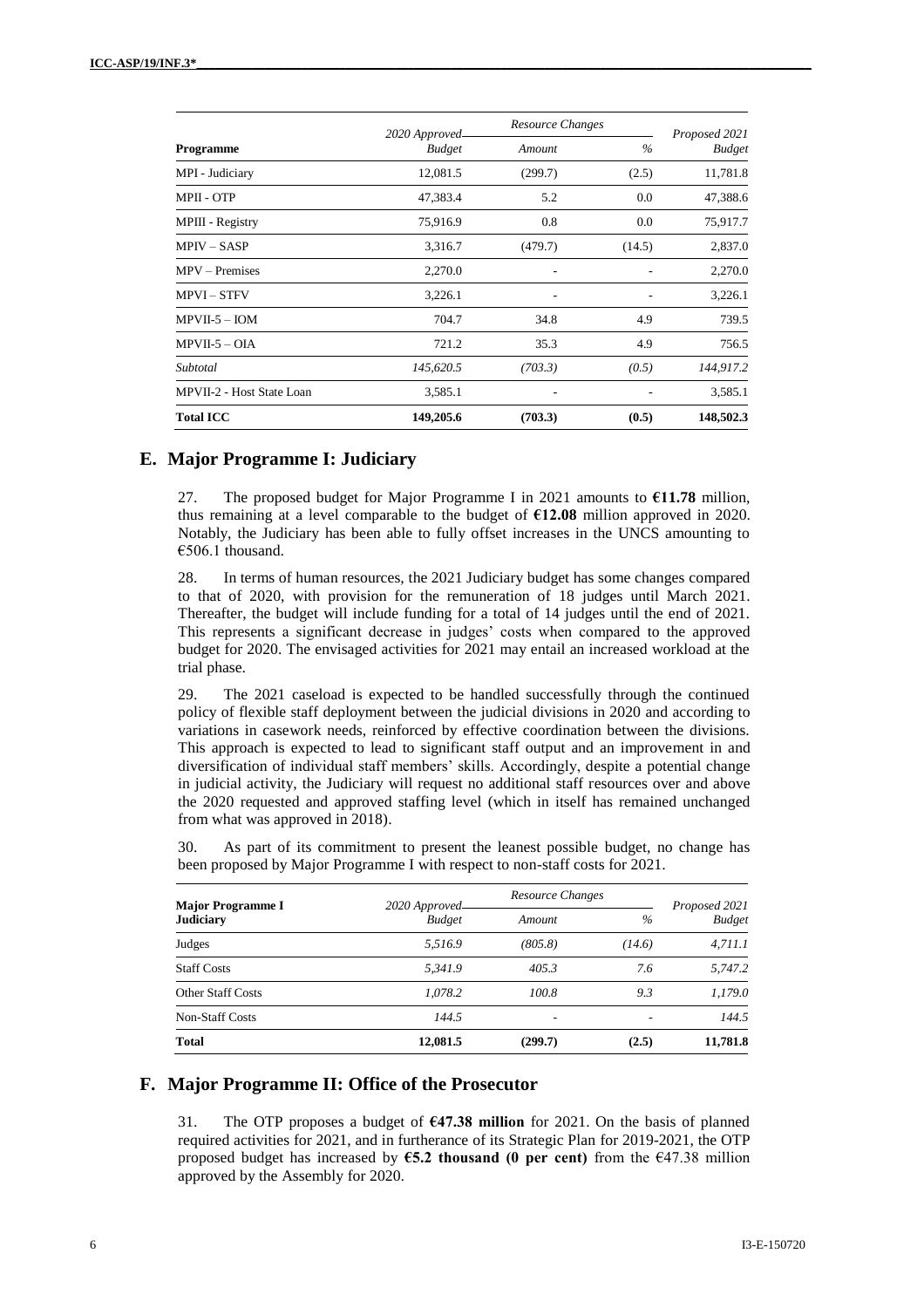|                           | 2020 Approved |                          | Resource Changes |                                |
|---------------------------|---------------|--------------------------|------------------|--------------------------------|
| <b>Programme</b>          | <b>Budget</b> | Amount                   | $\%$             | Proposed 2021<br><b>Budget</b> |
| MPI - Judiciary           | 12,081.5      | (299.7)                  | (2.5)            | 11,781.8                       |
| MPII - OTP                | 47,383.4      | 5.2                      | 0.0              | 47,388.6                       |
| MPIII - Registry          | 75,916.9      | 0.8                      | 0.0              | 75,917.7                       |
| <b>MPIV – SASP</b>        | 3,316.7       | (479.7)                  | (14.5)           | 2,837.0                        |
| $MPV - Premises$          | 2,270.0       |                          |                  | 2,270.0                        |
| <b>MPVI-STFV</b>          | 3,226.1       |                          |                  | 3,226.1                        |
| $MPVII-5 - IOM$           | 704.7         | 34.8                     | 4.9              | 739.5                          |
| $MPVII-5-OIA$             | 721.2         | 35.3                     | 4.9              | 756.5                          |
| Subtotal                  | 145,620.5     | (703.3)                  | (0.5)            | 144,917.2                      |
| MPVII-2 - Host State Loan | 3,585.1       | $\overline{\phantom{0}}$ |                  | 3,585.1                        |
| <b>Total ICC</b>          | 149,205.6     | (703.3)                  | (0.5)            | 148,502.3                      |

## **E. Major Programme I: Judiciary**

27. The proposed budget for Major Programme I in 2021 amounts to **€11.78** million, thus remaining at a level comparable to the budget of **€12.08** million approved in 2020. Notably, the Judiciary has been able to fully offset increases in the UNCS amounting to €506.1 thousand.

28. In terms of human resources, the 2021 Judiciary budget has some changes compared to that of 2020, with provision for the remuneration of 18 judges until March 2021. Thereafter, the budget will include funding for a total of 14 judges until the end of 2021. This represents a significant decrease in judges' costs when compared to the approved budget for 2020. The envisaged activities for 2021 may entail an increased workload at the trial phase.

29. The 2021 caseload is expected to be handled successfully through the continued policy of flexible staff deployment between the judicial divisions in 2020 and according to variations in casework needs, reinforced by effective coordination between the divisions. This approach is expected to lead to significant staff output and an improvement in and diversification of individual staff members' skills. Accordingly, despite a potential change in judicial activity, the Judiciary will request no additional staff resources over and above the 2020 requested and approved staffing level (which in itself has remained unchanged from what was approved in 2018).

30. As part of its commitment to present the leanest possible budget, no change has been proposed by Major Programme I with respect to non-staff costs for 2021.

| <b>Major Programme I</b><br><b>Judiciary</b> | 2020 Approved | Resource Changes |        | Proposed 2021 |
|----------------------------------------------|---------------|------------------|--------|---------------|
|                                              | <b>Budget</b> | Amount           | $\%$   | <b>Budget</b> |
| Judges                                       | 5.516.9       | (805.8)          | (14.6) | 4,711.1       |
| <b>Staff Costs</b>                           | 5.341.9       | 405.3            | 7.6    | 5.747.2       |
| <b>Other Staff Costs</b>                     | 1.078.2       | 100.8            | 9.3    | 1.179.0       |
| <b>Non-Staff Costs</b>                       | 144.5         | ۰                |        | 144.5         |
| <b>Total</b>                                 | 12,081.5      | (299.7)          | (2.5)  | 11,781.8      |

#### **F. Major Programme II: Office of the Prosecutor**

31. The OTP proposes a budget of **€47.38 million** for 2021. On the basis of planned required activities for 2021, and in furtherance of its Strategic Plan for 2019-2021, the OTP proposed budget has increased by  $65.2$  thousand (0 per cent) from the  $647.38$  million approved by the Assembly for 2020.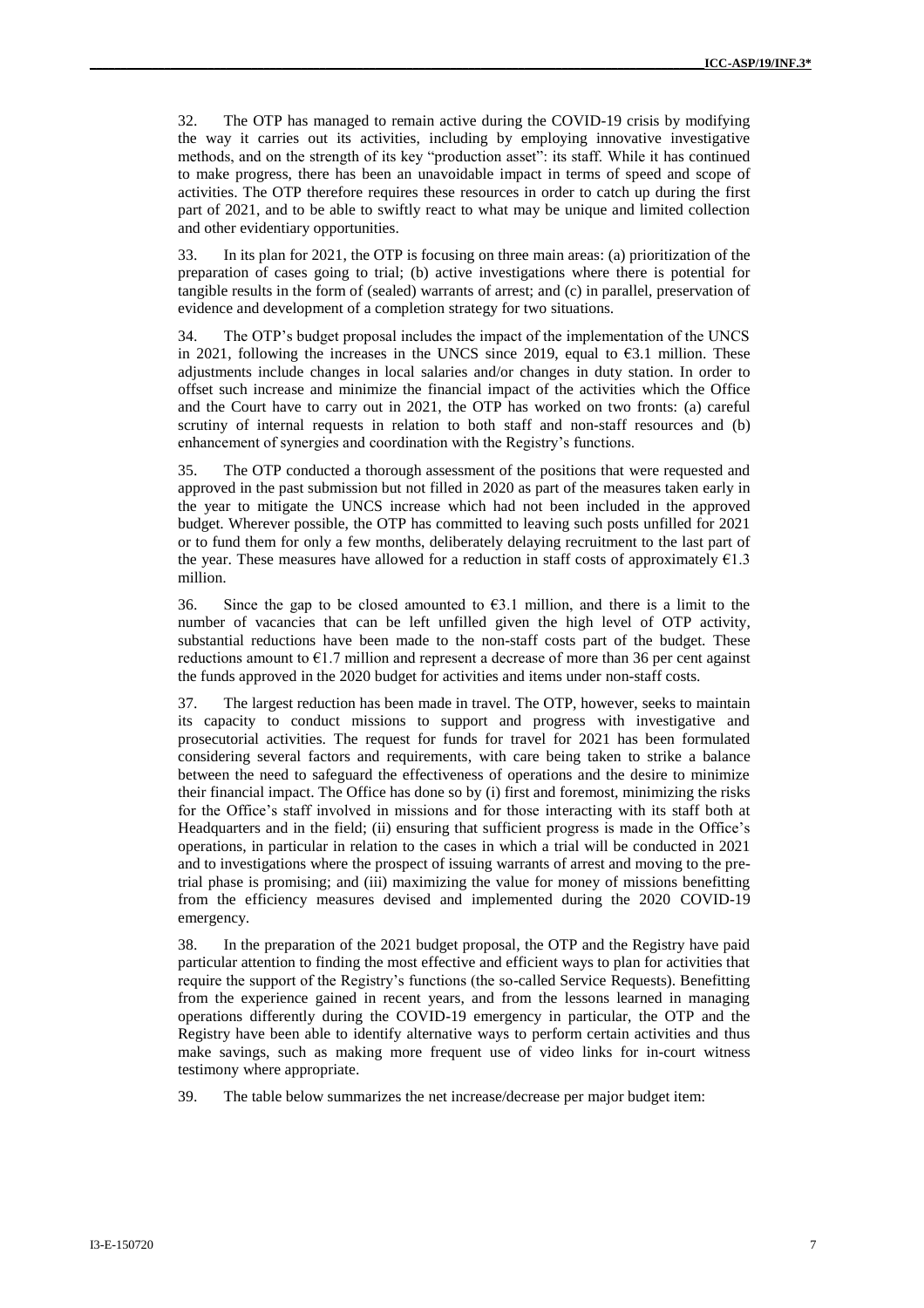32. The OTP has managed to remain active during the COVID-19 crisis by modifying the way it carries out its activities, including by employing innovative investigative methods, and on the strength of its key "production asset": its staff. While it has continued to make progress, there has been an unavoidable impact in terms of speed and scope of activities. The OTP therefore requires these resources in order to catch up during the first part of 2021, and to be able to swiftly react to what may be unique and limited collection and other evidentiary opportunities.

33. In its plan for 2021, the OTP is focusing on three main areas: (a) prioritization of the preparation of cases going to trial; (b) active investigations where there is potential for tangible results in the form of (sealed) warrants of arrest; and (c) in parallel, preservation of evidence and development of a completion strategy for two situations.

34. The OTP's budget proposal includes the impact of the implementation of the UNCS in 2021, following the increases in the UNCS since 2019, equal to  $63.1$  million. These adjustments include changes in local salaries and/or changes in duty station. In order to offset such increase and minimize the financial impact of the activities which the Office and the Court have to carry out in 2021, the OTP has worked on two fronts: (a) careful scrutiny of internal requests in relation to both staff and non-staff resources and (b) enhancement of synergies and coordination with the Registry's functions.

35. The OTP conducted a thorough assessment of the positions that were requested and approved in the past submission but not filled in 2020 as part of the measures taken early in the year to mitigate the UNCS increase which had not been included in the approved budget. Wherever possible, the OTP has committed to leaving such posts unfilled for 2021 or to fund them for only a few months, deliberately delaying recruitment to the last part of the year. These measures have allowed for a reduction in staff costs of approximately  $E1.3$ million.

36. Since the gap to be closed amounted to  $63.1$  million, and there is a limit to the number of vacancies that can be left unfilled given the high level of OTP activity, substantial reductions have been made to the non-staff costs part of the budget. These reductions amount to  $E1.7$  million and represent a decrease of more than 36 per cent against the funds approved in the 2020 budget for activities and items under non-staff costs.

37. The largest reduction has been made in travel. The OTP, however, seeks to maintain its capacity to conduct missions to support and progress with investigative and prosecutorial activities. The request for funds for travel for 2021 has been formulated considering several factors and requirements, with care being taken to strike a balance between the need to safeguard the effectiveness of operations and the desire to minimize their financial impact. The Office has done so by (i) first and foremost, minimizing the risks for the Office's staff involved in missions and for those interacting with its staff both at Headquarters and in the field; (ii) ensuring that sufficient progress is made in the Office's operations, in particular in relation to the cases in which a trial will be conducted in 2021 and to investigations where the prospect of issuing warrants of arrest and moving to the pretrial phase is promising; and (iii) maximizing the value for money of missions benefitting from the efficiency measures devised and implemented during the 2020 COVID-19 emergency.

38. In the preparation of the 2021 budget proposal, the OTP and the Registry have paid particular attention to finding the most effective and efficient ways to plan for activities that require the support of the Registry's functions (the so-called Service Requests). Benefitting from the experience gained in recent years, and from the lessons learned in managing operations differently during the COVID-19 emergency in particular, the OTP and the Registry have been able to identify alternative ways to perform certain activities and thus make savings, such as making more frequent use of video links for in-court witness testimony where appropriate.

39. The table below summarizes the net increase/decrease per major budget item: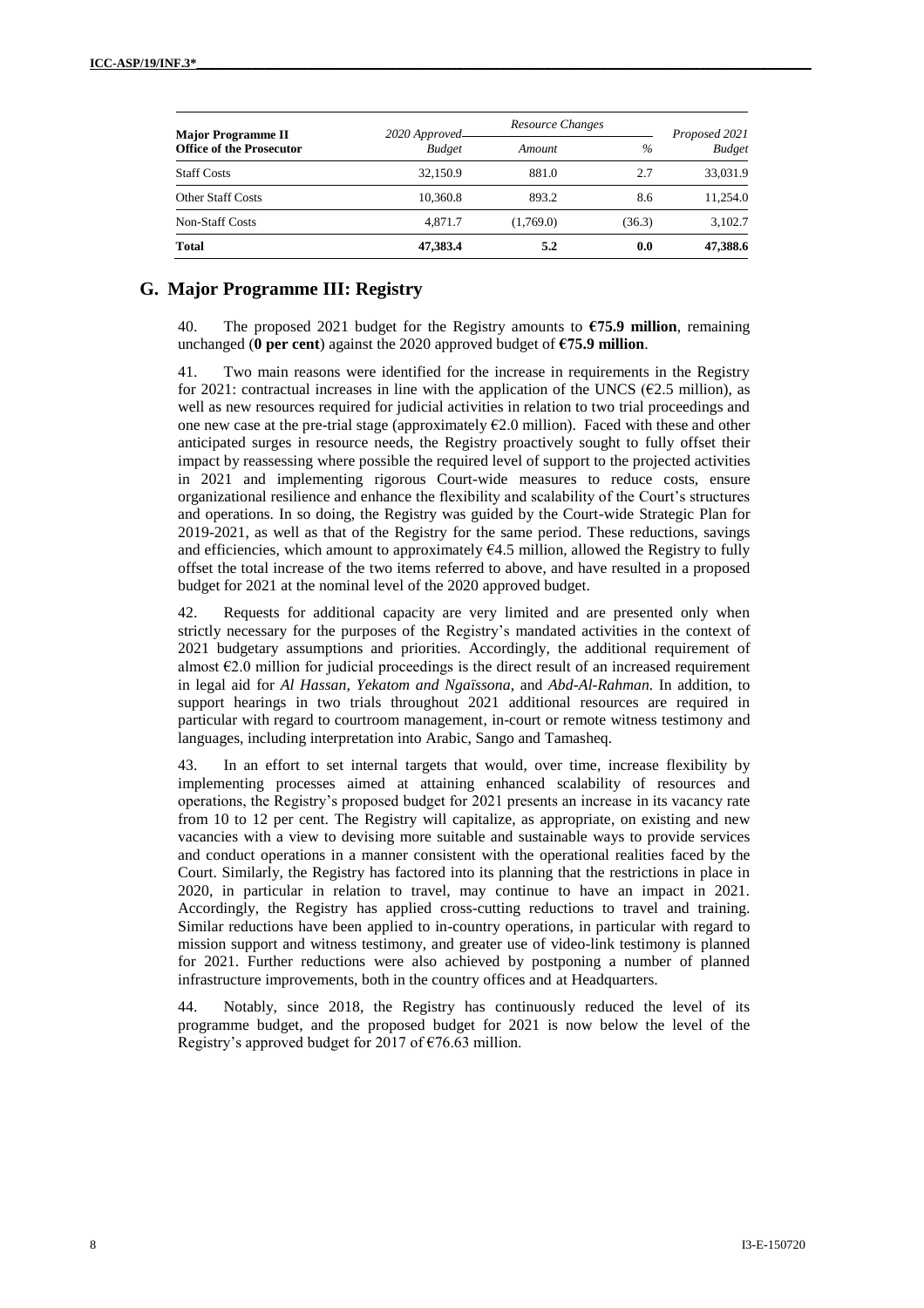| <b>Major Programme II</b><br><b>Office of the Prosecutor</b> | 2020 Approved | Resource Changes |        | Proposed 2021 |  |
|--------------------------------------------------------------|---------------|------------------|--------|---------------|--|
|                                                              | <b>Budget</b> | Amount           | $\%$   | <b>Budget</b> |  |
| <b>Staff Costs</b>                                           | 32,150.9      | 881.0            | 2.7    | 33,031.9      |  |
| <b>Other Staff Costs</b>                                     | 10.360.8      | 893.2            | 8.6    | 11.254.0      |  |
| <b>Non-Staff Costs</b>                                       | 4.871.7       | (1,769.0)        | (36.3) | 3.102.7       |  |
| <b>Total</b>                                                 | 47,383.4      | 5.2              | 0.0    | 47,388.6      |  |

## **G. Major Programme III: Registry**

40. The proposed 2021 budget for the Registry amounts to **€75.9 million**, remaining unchanged (**0 per cent**) against the 2020 approved budget of **€75.9 million**.

41. Two main reasons were identified for the increase in requirements in the Registry for 2021: contractual increases in line with the application of the UNCS ( $E2.5$  million), as well as new resources required for judicial activities in relation to two trial proceedings and one new case at the pre-trial stage (approximately €2.0 million). Faced with these and other anticipated surges in resource needs, the Registry proactively sought to fully offset their impact by reassessing where possible the required level of support to the projected activities in 2021 and implementing rigorous Court-wide measures to reduce costs, ensure organizational resilience and enhance the flexibility and scalability of the Court's structures and operations. In so doing, the Registry was guided by the Court-wide Strategic Plan for 2019-2021, as well as that of the Registry for the same period. These reductions, savings and efficiencies, which amount to approximately  $64.5$  million, allowed the Registry to fully offset the total increase of the two items referred to above, and have resulted in a proposed budget for 2021 at the nominal level of the 2020 approved budget.

42. Requests for additional capacity are very limited and are presented only when strictly necessary for the purposes of the Registry's mandated activities in the context of 2021 budgetary assumptions and priorities. Accordingly, the additional requirement of almost  $E2.0$  million for judicial proceedings is the direct result of an increased requirement in legal aid for *Al Hassan*, *Yekatom and Ngaïssona*, and *Abd-Al-Rahman*. In addition, to support hearings in two trials throughout 2021 additional resources are required in particular with regard to courtroom management, in-court or remote witness testimony and languages, including interpretation into Arabic, Sango and Tamasheq.

43. In an effort to set internal targets that would, over time, increase flexibility by implementing processes aimed at attaining enhanced scalability of resources and operations, the Registry's proposed budget for 2021 presents an increase in its vacancy rate from 10 to 12 per cent. The Registry will capitalize, as appropriate, on existing and new vacancies with a view to devising more suitable and sustainable ways to provide services and conduct operations in a manner consistent with the operational realities faced by the Court. Similarly, the Registry has factored into its planning that the restrictions in place in 2020, in particular in relation to travel, may continue to have an impact in 2021. Accordingly, the Registry has applied cross-cutting reductions to travel and training. Similar reductions have been applied to in-country operations, in particular with regard to mission support and witness testimony, and greater use of video-link testimony is planned for 2021. Further reductions were also achieved by postponing a number of planned infrastructure improvements, both in the country offices and at Headquarters.

44. Notably, since 2018, the Registry has continuously reduced the level of its programme budget, and the proposed budget for 2021 is now below the level of the Registry's approved budget for 2017 of €76.63 million.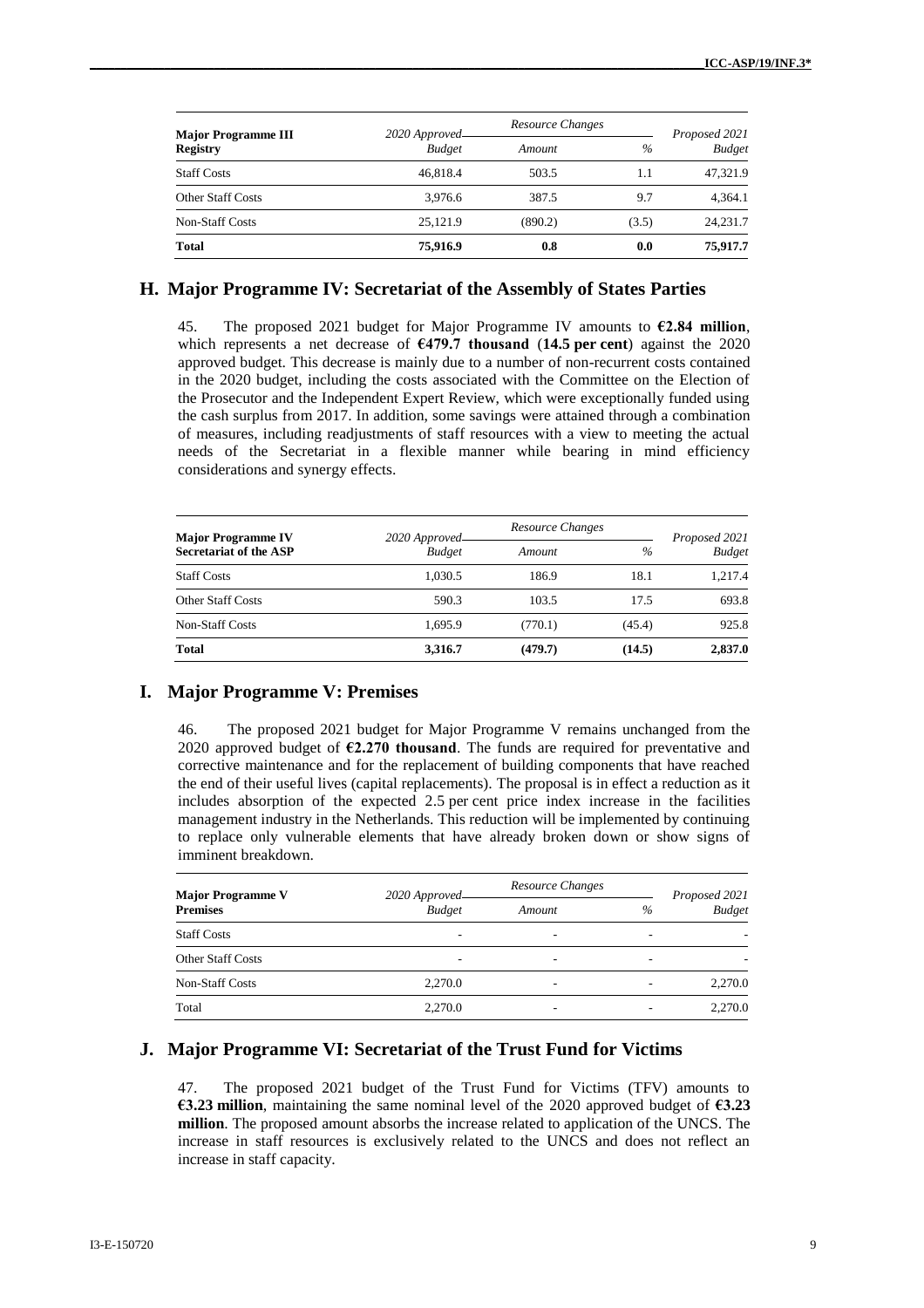| <b>Major Programme III</b><br><b>Registry</b> | 2020 Approved<br><b>Budget</b> | Resource Changes |       | Proposed 2021 |  |
|-----------------------------------------------|--------------------------------|------------------|-------|---------------|--|
|                                               |                                | Amount           | $\%$  | <b>Budget</b> |  |
| <b>Staff Costs</b>                            | 46.818.4                       | 503.5            | 1.1   | 47.321.9      |  |
| <b>Other Staff Costs</b>                      | 3.976.6                        | 387.5            | 9.7   | 4.364.1       |  |
| <b>Non-Staff Costs</b>                        | 25,121.9                       | (890.2)          | (3.5) | 24, 231.7     |  |
| <b>Total</b>                                  | 75,916.9                       | 0.8              | 0.0   | 75,917.7      |  |

#### **H. Major Programme IV: Secretariat of the Assembly of States Parties**

45. The proposed 2021 budget for Major Programme IV amounts to **€2.84 million**, which represents a net decrease of **€479.7 thousand** (**14.5 per cent**) against the 2020 approved budget. This decrease is mainly due to a number of non-recurrent costs contained in the 2020 budget, including the costs associated with the Committee on the Election of the Prosecutor and the Independent Expert Review, which were exceptionally funded using the cash surplus from 2017. In addition, some savings were attained through a combination of measures, including readjustments of staff resources with a view to meeting the actual needs of the Secretariat in a flexible manner while bearing in mind efficiency considerations and synergy effects.

| <b>Major Programme IV</b><br><b>Secretariat of the ASP</b> | 2020 Approved<br><b>Budget</b> | Resource Changes |        | Proposed 2021 |  |
|------------------------------------------------------------|--------------------------------|------------------|--------|---------------|--|
|                                                            |                                | Amount           | $\%$   | <b>Budget</b> |  |
| <b>Staff Costs</b>                                         | 1,030.5                        | 186.9            | 18.1   | 1,217.4       |  |
| <b>Other Staff Costs</b>                                   | 590.3                          | 103.5            | 17.5   | 693.8         |  |
| <b>Non-Staff Costs</b>                                     | 1.695.9                        | (770.1)          | (45.4) | 925.8         |  |
| <b>Total</b>                                               | 3,316.7                        | (479.7)          | (14.5) | 2,837.0       |  |

## **I. Major Programme V: Premises**

46. The proposed 2021 budget for Major Programme V remains unchanged from the 2020 approved budget of **€2.270 thousand**. The funds are required for preventative and corrective maintenance and for the replacement of building components that have reached the end of their useful lives (capital replacements). The proposal is in effect a reduction as it includes absorption of the expected 2.5 per cent price index increase in the facilities management industry in the Netherlands. This reduction will be implemented by continuing to replace only vulnerable elements that have already broken down or show signs of imminent breakdown.

| <b>Major Programme V</b><br><b>Premises</b> | 2020 Approved | Resource Changes         |      | Proposed 2021 |
|---------------------------------------------|---------------|--------------------------|------|---------------|
|                                             | <b>Budget</b> | Amount                   | $\%$ | <b>Budget</b> |
| <b>Staff Costs</b>                          |               |                          |      |               |
| <b>Other Staff Costs</b>                    |               | $\overline{\phantom{a}}$ |      |               |
| <b>Non-Staff Costs</b>                      | 2.270.0       | $\overline{\phantom{a}}$ |      | 2,270.0       |
| Total                                       | 2.270.0       | $\overline{\phantom{a}}$ |      | 2.270.0       |

#### **J. Major Programme VI: Secretariat of the Trust Fund for Victims**

47. The proposed 2021 budget of the Trust Fund for Victims (TFV) amounts to **€3.23 million**, maintaining the same nominal level of the 2020 approved budget of **€3.23 million**. The proposed amount absorbs the increase related to application of the UNCS. The increase in staff resources is exclusively related to the UNCS and does not reflect an increase in staff capacity.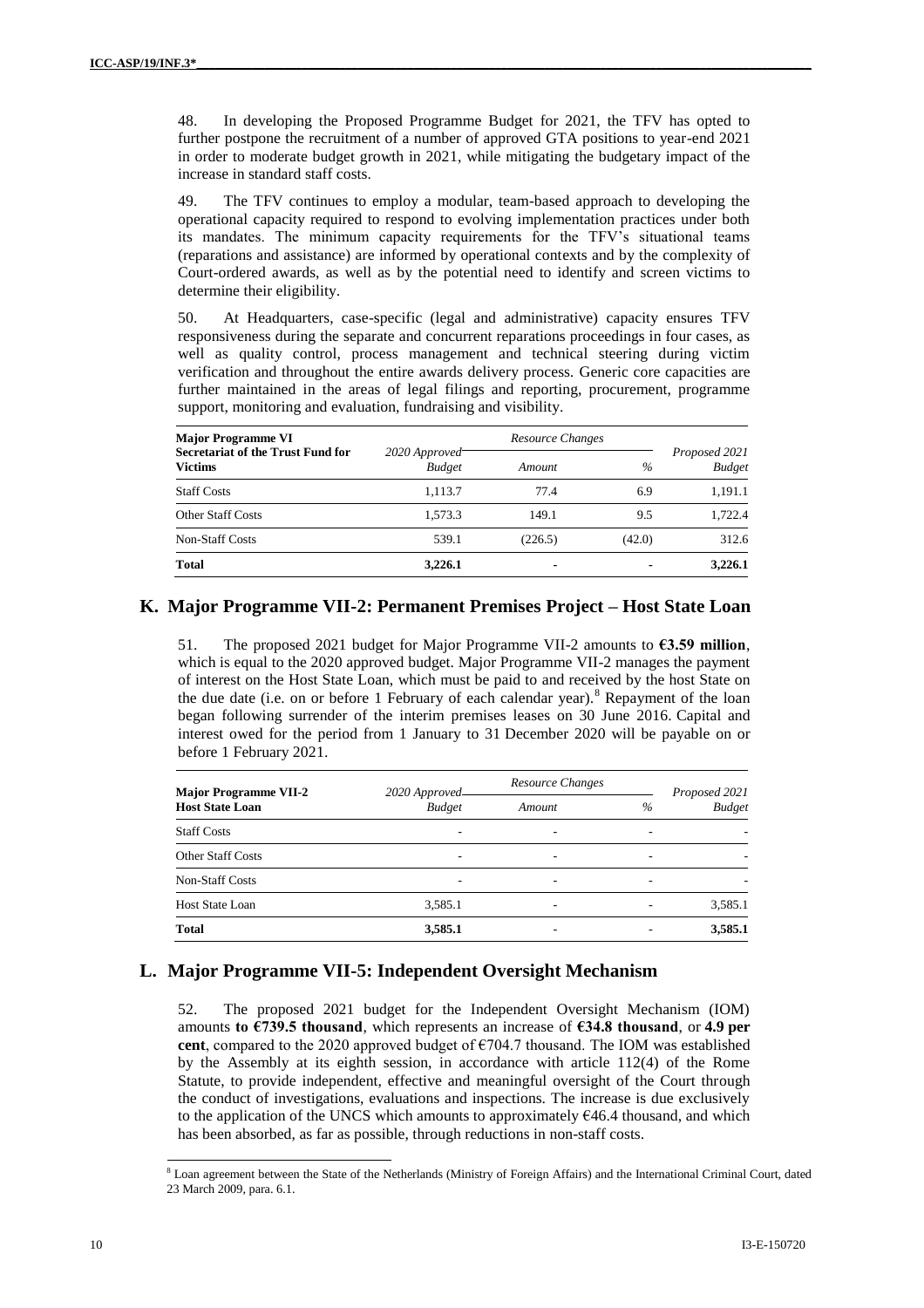48. In developing the Proposed Programme Budget for 2021, the TFV has opted to further postpone the recruitment of a number of approved GTA positions to year-end 2021 in order to moderate budget growth in 2021, while mitigating the budgetary impact of the increase in standard staff costs.

49. The TFV continues to employ a modular, team-based approach to developing the operational capacity required to respond to evolving implementation practices under both its mandates. The minimum capacity requirements for the TFV's situational teams (reparations and assistance) are informed by operational contexts and by the complexity of Court-ordered awards, as well as by the potential need to identify and screen victims to determine their eligibility.

50. At Headquarters, case-specific (legal and administrative) capacity ensures TFV responsiveness during the separate and concurrent reparations proceedings in four cases, as well as quality control, process management and technical steering during victim verification and throughout the entire awards delivery process. Generic core capacities are further maintained in the areas of legal filings and reporting, procurement, programme support, monitoring and evaluation, fundraising and visibility.

| <b>Major Programme VI</b>                                  |                                | Resource Changes |        |                                |
|------------------------------------------------------------|--------------------------------|------------------|--------|--------------------------------|
| <b>Secretariat of the Trust Fund for</b><br><b>Victims</b> | 2020 Approved<br><b>Budget</b> | Amount           | $\%$   | Proposed 2021<br><b>Budget</b> |
| <b>Staff Costs</b>                                         | 1,113.7                        | 77.4             | 6.9    | 1,191.1                        |
| <b>Other Staff Costs</b>                                   | 1,573.3                        | 149.1            | 9.5    | 1.722.4                        |
| <b>Non-Staff Costs</b>                                     | 539.1                          | (226.5)          | (42.0) | 312.6                          |
| Total                                                      | 3,226.1                        | $\blacksquare$   |        | 3,226.1                        |

## **K. Major Programme VII-2: Permanent Premises Project – Host State Loan**

51. The proposed 2021 budget for Major Programme VII-2 amounts to **€3.59 million**, which is equal to the 2020 approved budget. Major Programme VII-2 manages the payment of interest on the Host State Loan, which must be paid to and received by the host State on the due date (i.e. on or before 1 February of each calendar year).<sup>8</sup> Repayment of the loan began following surrender of the interim premises leases on 30 June 2016. Capital and interest owed for the period from 1 January to 31 December 2020 will be payable on or before 1 February 2021.

| <b>Major Programme VII-2</b><br><b>Host State Loan</b> | 2020 Approved | Resource Changes |      | Proposed 2021 |
|--------------------------------------------------------|---------------|------------------|------|---------------|
|                                                        | <b>Budget</b> | Amount           | $\%$ | <b>Budget</b> |
| <b>Staff Costs</b>                                     |               | ۰                |      |               |
| <b>Other Staff Costs</b>                               | ۰             | ۰                |      |               |
| Non-Staff Costs                                        |               | ۰                |      |               |
| <b>Host State Loan</b>                                 | 3,585.1       | ٠                |      | 3,585.1       |
| <b>Total</b>                                           | 3,585.1       |                  |      | 3,585.1       |

## **L. Major Programme VII-5: Independent Oversight Mechanism**

52. The proposed 2021 budget for the Independent Oversight Mechanism (IOM) amounts **to €739.5 thousand**, which represents an increase of **€34.8 thousand**, or **4.9 per cent**, compared to the 2020 approved budget of €704.7 thousand. The IOM was established by the Assembly at its eighth session, in accordance with article 112(4) of the Rome Statute, to provide independent, effective and meaningful oversight of the Court through the conduct of investigations, evaluations and inspections. The increase is due exclusively to the application of the UNCS which amounts to approximately  $646.4$  thousand, and which has been absorbed, as far as possible, through reductions in non-staff costs.

 $\overline{a}$ 

<sup>8</sup> Loan agreement between the State of the Netherlands (Ministry of Foreign Affairs) and the International Criminal Court, dated 23 March 2009, para. 6.1.